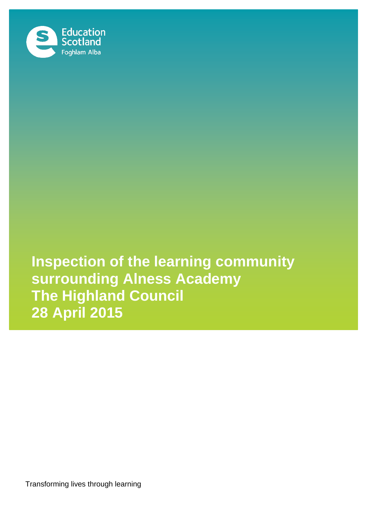

**Inspection of the learning community surrounding Alness Academy The Highland Council 28 April 2015**

Transforming lives through learning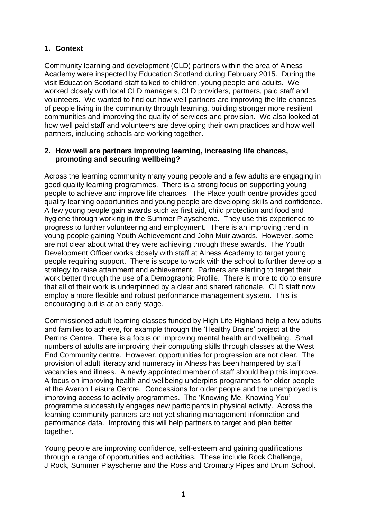## **1. Context**

Community learning and development (CLD) partners within the area of Alness Academy were inspected by Education Scotland during February 2015. During the visit Education Scotland staff talked to children, young people and adults. We worked closely with local CLD managers, CLD providers, partners, paid staff and volunteers. We wanted to find out how well partners are improving the life chances of people living in the community through learning, building stronger more resilient communities and improving the quality of services and provision. We also looked at how well paid staff and volunteers are developing their own practices and how well partners, including schools are working together.

## **2. How well are partners improving learning, increasing life chances, promoting and securing wellbeing?**

Across the learning community many young people and a few adults are engaging in good quality learning programmes. There is a strong focus on supporting young people to achieve and improve life chances. The Place youth centre provides good quality learning opportunities and young people are developing skills and confidence. A few young people gain awards such as first aid, child protection and food and hygiene through working in the Summer Playscheme. They use this experience to progress to further volunteering and employment. There is an improving trend in young people gaining Youth Achievement and John Muir awards. However, some are not clear about what they were achieving through these awards. The Youth Development Officer works closely with staff at Alness Academy to target young people requiring support. There is scope to work with the school to further develop a strategy to raise attainment and achievement. Partners are starting to target their work better through the use of a Demographic Profile. There is more to do to ensure that all of their work is underpinned by a clear and shared rationale. CLD staff now employ a more flexible and robust performance management system. This is encouraging but is at an early stage.

Commissioned adult learning classes funded by High Life Highland help a few adults and families to achieve, for example through the 'Healthy Brains' project at the Perrins Centre. There is a focus on improving mental health and wellbeing. Small numbers of adults are improving their computing skills through classes at the West End Community centre. However, opportunities for progression are not clear. The provision of adult literacy and numeracy in Alness has been hampered by staff vacancies and illness. A newly appointed member of staff should help this improve. A focus on improving health and wellbeing underpins programmes for older people at the Averon Leisure Centre. Concessions for older people and the unemployed is improving access to activity programmes. The 'Knowing Me, Knowing You' programme successfully engages new participants in physical activity. Across the learning community partners are not yet sharing management information and performance data. Improving this will help partners to target and plan better together.

Young people are improving confidence, self-esteem and gaining qualifications through a range of opportunities and activities. These include Rock Challenge, J Rock, Summer Playscheme and the Ross and Cromarty Pipes and Drum School.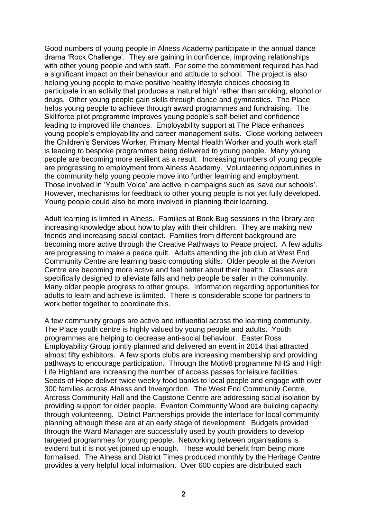Good numbers of young people in Alness Academy participate in the annual dance drama 'Rock Challenge'. They are gaining in confidence, improving relationships with other young people and with staff. For some the commitment required has had a significant impact on their behaviour and attitude to school. The project is also helping young people to make positive healthy lifestyle choices choosing to participate in an activity that produces a 'natural high' rather than smoking, alcohol or drugs. Other young people gain skills through dance and gymnastics. The Place helps young people to achieve through award programmes and fundraising. The Skillforce pilot programme improves young people's self-belief and confidence leading to improved life chances. Employability support at The Place enhances young people's employability and career management skills. Close working between the Children's Services Worker, Primary Mental Health Worker and youth work staff is leading to bespoke programmes being delivered to young people. Many young people are becoming more resilient as a result. Increasing numbers of young people are progressing to employment from Alness Academy. Volunteering opportunities in the community help young people move into further learning and employment. Those involved in 'Youth Voice' are active in campaigns such as 'save our schools'. However, mechanisms for feedback to other young people is not yet fully developed. Young people could also be more involved in planning their learning.

Adult learning is limited in Alness. Families at Book Bug sessions in the library are increasing knowledge about how to play with their children. They are making new friends and increasing social contact. Families from different background are becoming more active through the Creative Pathways to Peace project. A few adults are progressing to make a peace quilt. Adults attending the job club at West End Community Centre are learning basic computing skills. Older people at the Averon Centre are becoming more active and feel better about their health. Classes are specifically designed to alleviate falls and help people be safer in the community. Many older people progress to other groups. Information regarding opportunities for adults to learn and achieve is limited. There is considerable scope for partners to work better together to coordinate this.

A few community groups are active and influential across the learning community. The Place youth centre is highly valued by young people and adults. Youth programmes are helping to decrease anti-social behaviour. Easter Ross Employability Group jointly planned and delivered an event in 2014 that attracted almost fifty exhibitors. A few sports clubs are increasing membership and providing pathways to encourage participation. Through the Motiv8 programme NHS and High Life Highland are increasing the number of access passes for leisure facilities. Seeds of Hope deliver twice weekly food banks to local people and engage with over 300 families across Alness and Invergordon. The West End Community Centre, Ardross Community Hall and the Capstone Centre are addressing social isolation by providing support for older people. Evanton Community Wood are building capacity through volunteering. District Partnerships provide the interface for local community planning although these are at an early stage of development. Budgets provided through the Ward Manager are successfully used by youth providers to develop targeted programmes for young people. Networking between organisations is evident but it is not yet joined up enough. These would benefit from being more formalised. The Alness and District Times produced monthly by the Heritage Centre provides a very helpful local information. Over 600 copies are distributed each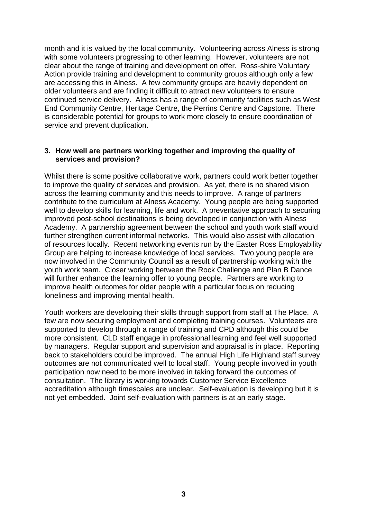month and it is valued by the local community. Volunteering across Alness is strong with some volunteers progressing to other learning. However, volunteers are not clear about the range of training and development on offer. Ross-shire Voluntary Action provide training and development to community groups although only a few are accessing this in Alness. A few community groups are heavily dependent on older volunteers and are finding it difficult to attract new volunteers to ensure continued service delivery. Alness has a range of community facilities such as West End Community Centre, Heritage Centre, the Perrins Centre and Capstone. There is considerable potential for groups to work more closely to ensure coordination of service and prevent duplication.

## **3. How well are partners working together and improving the quality of services and provision?**

Whilst there is some positive collaborative work, partners could work better together to improve the quality of services and provision. As yet, there is no shared vision across the learning community and this needs to improve. A range of partners contribute to the curriculum at Alness Academy. Young people are being supported well to develop skills for learning, life and work. A preventative approach to securing improved post-school destinations is being developed in conjunction with Alness Academy. A partnership agreement between the school and youth work staff would further strengthen current informal networks. This would also assist with allocation of resources locally. Recent networking events run by the Easter Ross Employability Group are helping to increase knowledge of local services. Two young people are now involved in the Community Council as a result of partnership working with the youth work team. Closer working between the Rock Challenge and Plan B Dance will further enhance the learning offer to young people. Partners are working to improve health outcomes for older people with a particular focus on reducing loneliness and improving mental health.

Youth workers are developing their skills through support from staff at The Place. A few are now securing employment and completing training courses. Volunteers are supported to develop through a range of training and CPD although this could be more consistent. CLD staff engage in professional learning and feel well supported by managers. Regular support and supervision and appraisal is in place. Reporting back to stakeholders could be improved. The annual High Life Highland staff survey outcomes are not communicated well to local staff. Young people involved in youth participation now need to be more involved in taking forward the outcomes of consultation. The library is working towards Customer Service Excellence accreditation although timescales are unclear. Self-evaluation is developing but it is not yet embedded. Joint self-evaluation with partners is at an early stage.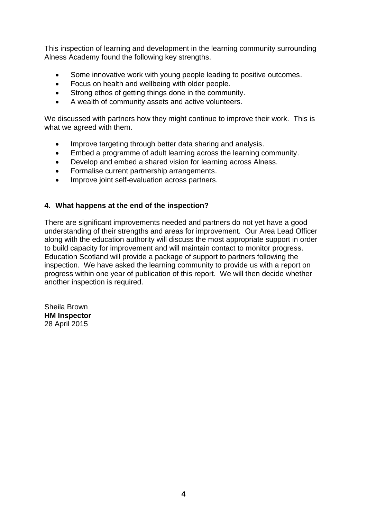This inspection of learning and development in the learning community surrounding Alness Academy found the following key strengths.

- Some innovative work with young people leading to positive outcomes.
- Focus on health and wellbeing with older people.
- Strong ethos of getting things done in the community.
- A wealth of community assets and active volunteers.

We discussed with partners how they might continue to improve their work. This is what we agreed with them.

- Improve targeting through better data sharing and analysis.
- Embed a programme of adult learning across the learning community.
- Develop and embed a shared vision for learning across Alness.
- Formalise current partnership arrangements.
- Improve joint self-evaluation across partners.

## **4. What happens at the end of the inspection?**

There are significant improvements needed and partners do not yet have a good understanding of their strengths and areas for improvement. Our Area Lead Officer along with the education authority will discuss the most appropriate support in order to build capacity for improvement and will maintain contact to monitor progress. Education Scotland will provide a package of support to partners following the inspection. We have asked the learning community to provide us with a report on progress within one year of publication of this report. We will then decide whether another inspection is required.

Sheila Brown **HM Inspector** 28 April 2015